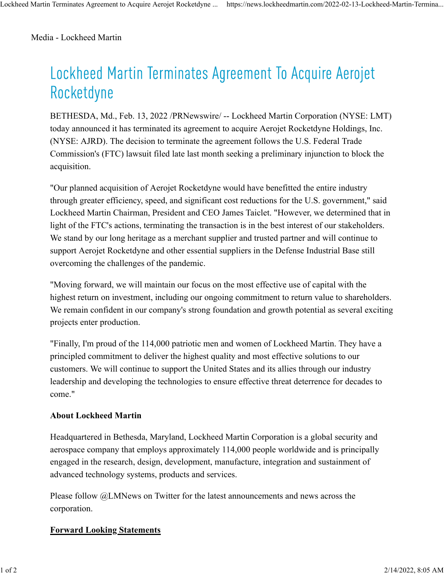Media - Lockheed Martin

## Lockheed Martin Terminates Agreement To Acquire Aerojet Rocketdyne

BETHESDA, Md., Feb. 13, 2022 /PRNewswire/ -- Lockheed Martin Corporation (NYSE: LMT) today announced it has terminated its agreement to acquire Aerojet Rocketdyne Holdings, Inc. (NYSE: AJRD). The decision to terminate the agreement follows the U.S. Federal Trade Commission's (FTC) lawsuit filed late last month seeking a preliminary injunction to block the acquisition.

"Our planned acquisition of Aerojet Rocketdyne would have benefitted the entire industry through greater efficiency, speed, and significant cost reductions for the U.S. government," said Lockheed Martin Chairman, President and CEO James Taiclet. "However, we determined that in light of the FTC's actions, terminating the transaction is in the best interest of our stakeholders. We stand by our long heritage as a merchant supplier and trusted partner and will continue to support Aerojet Rocketdyne and other essential suppliers in the Defense Industrial Base still overcoming the challenges of the pandemic.

"Moving forward, we will maintain our focus on the most effective use of capital with the highest return on investment, including our ongoing commitment to return value to shareholders. We remain confident in our company's strong foundation and growth potential as several exciting projects enter production.

"Finally, I'm proud of the 114,000 patriotic men and women of Lockheed Martin. They have a principled commitment to deliver the highest quality and most effective solutions to our customers. We will continue to support the United States and its allies through our industry leadership and developing the technologies to ensure effective threat deterrence for decades to come."

## **About Lockheed Martin**

Headquartered in Bethesda, Maryland, Lockheed Martin Corporation is a global security and aerospace company that employs approximately 114,000 people worldwide and is principally engaged in the research, design, development, manufacture, integration and sustainment of advanced technology systems, products and services.

Please follow @LMNews on Twitter for the latest announcements and news across the corporation.

## **Forward Looking Statements**